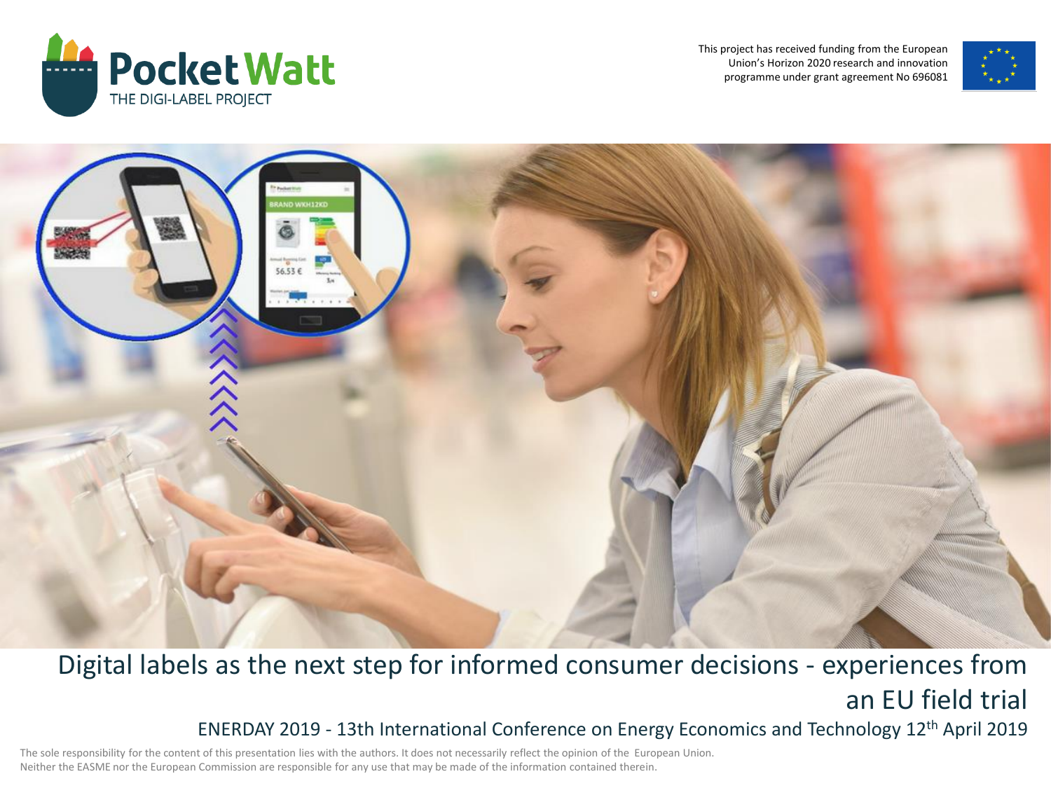

This project has received funding from the European Union's Horizon 2020 research and innovation programme under grant agreement No 696081





### Digital labels as the next step for informed consumer decisions - experiences from an EU field trial ENERDAY 2019 - 13th International Conference on Energy Economics and Technology 12th April 2019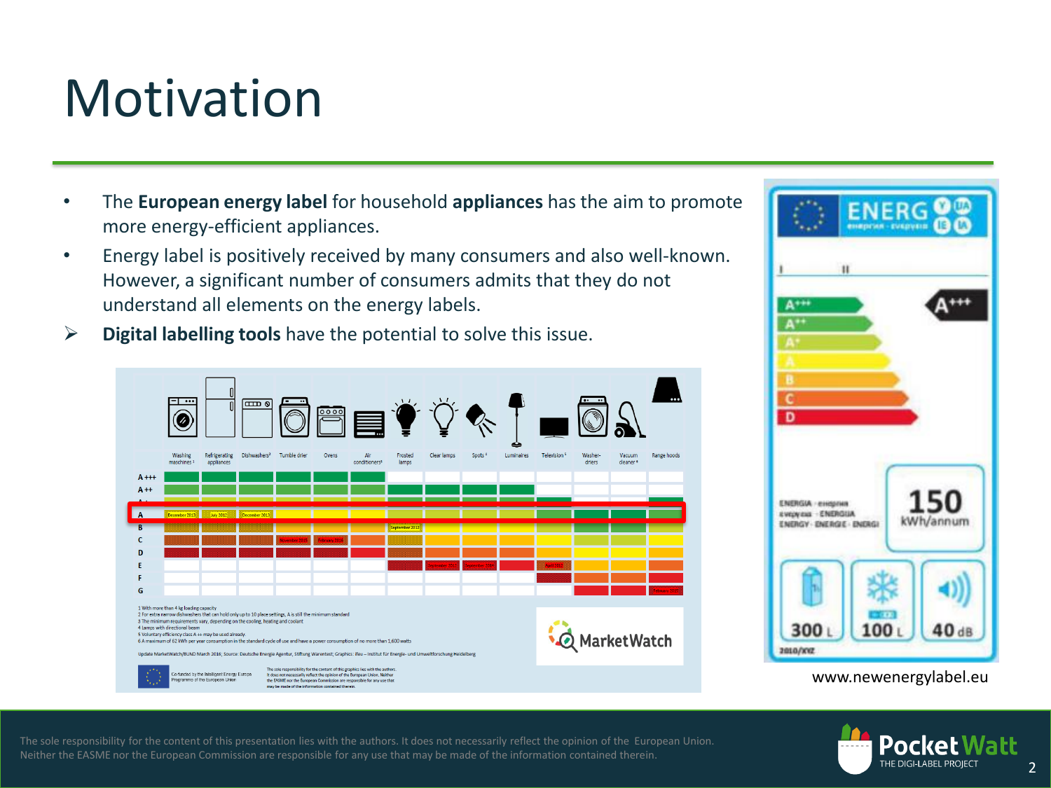### **Motivation**

- The **European energy label** for household **appliances** has the aim to promote more energy-efficient appliances.
- Energy label is positively received by many consumers and also well-known. However, a significant number of consumers admits that they do not understand all elements on the energy labels.
- **Digital labelling tools** have the potential to solve this issue.





www.newenergylabel.eu

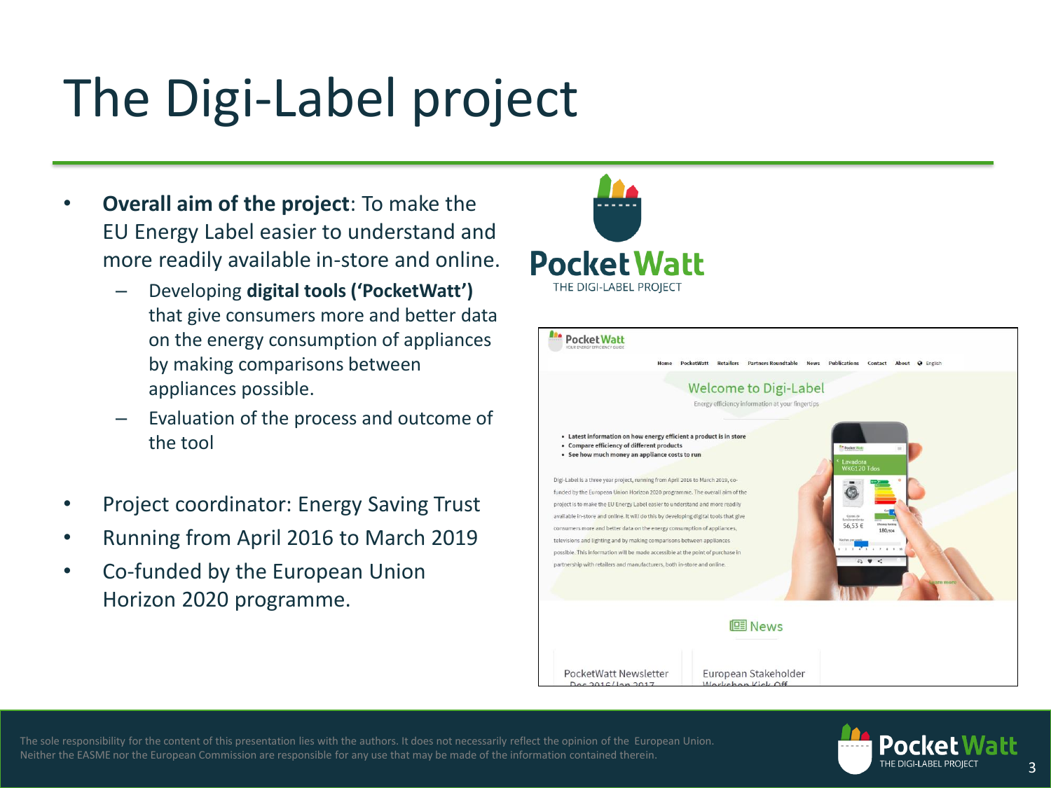## The Digi-Label project

- **Overall aim of the project**: To make the EU Energy Label easier to understand and more readily available in-store and online.
	- Developing **digital tools ('PocketWatt')**  that give consumers more and better data on the energy consumption of appliances by making comparisons between appliances possible.
	- Evaluation of the process and outcome of the tool
- Project coordinator: Energy Saving Trust
- Running from April 2016 to March 2019
- Co-funded by the European Union Horizon 2020 programme.





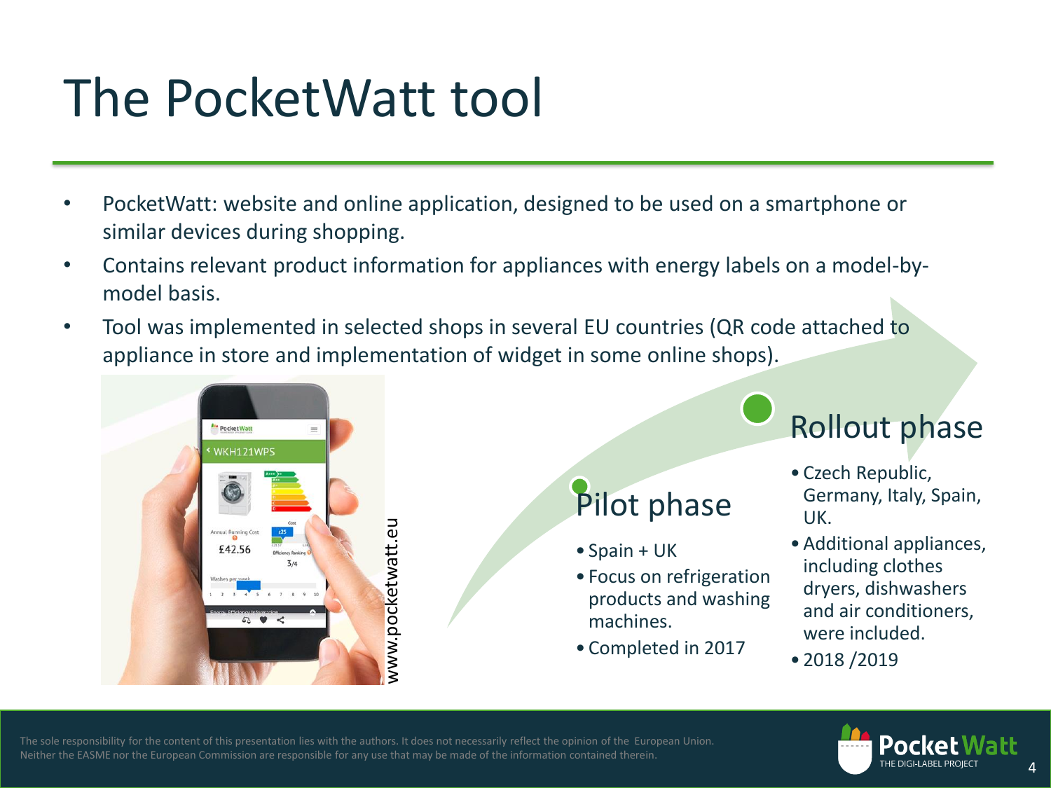### The PocketWatt tool

- PocketWatt: website and online application, designed to be used on a smartphone or similar devices during shopping.
- Contains relevant product information for appliances with energy labels on a model-bymodel basis.
- Tool was implemented in selected shops in several EU countries (QR code attached to appliance in store and implementation of widget in some online shops).



### Pilot phase

- Spain + UK
- Focus on refrigeration products and washing machines.
- Completed in 2017

Rollout phase

- Czech Republic, Germany, Italy, Spain, UK.
- •Additional appliances, including clothes dryers, dishwashers and air conditioners, were included.
- 2018 /2019



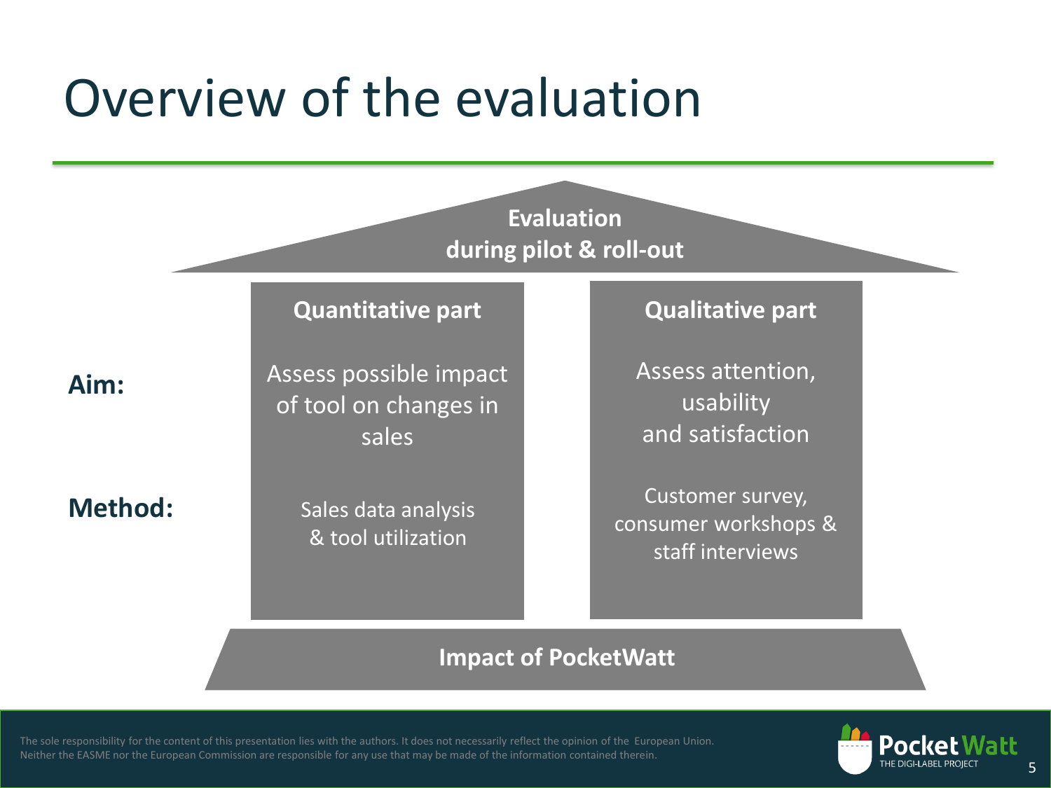### Overview of the evaluation



### **Quantitative part Qualitative part**

**Aim:**

**Method:**

Assess possible impact of tool on changes in sales

> Sales data analysis & tool utilization

Assess attention, usability and satisfaction

Customer survey, consumer workshops & staff interviews

### **Impact of PocketWatt**

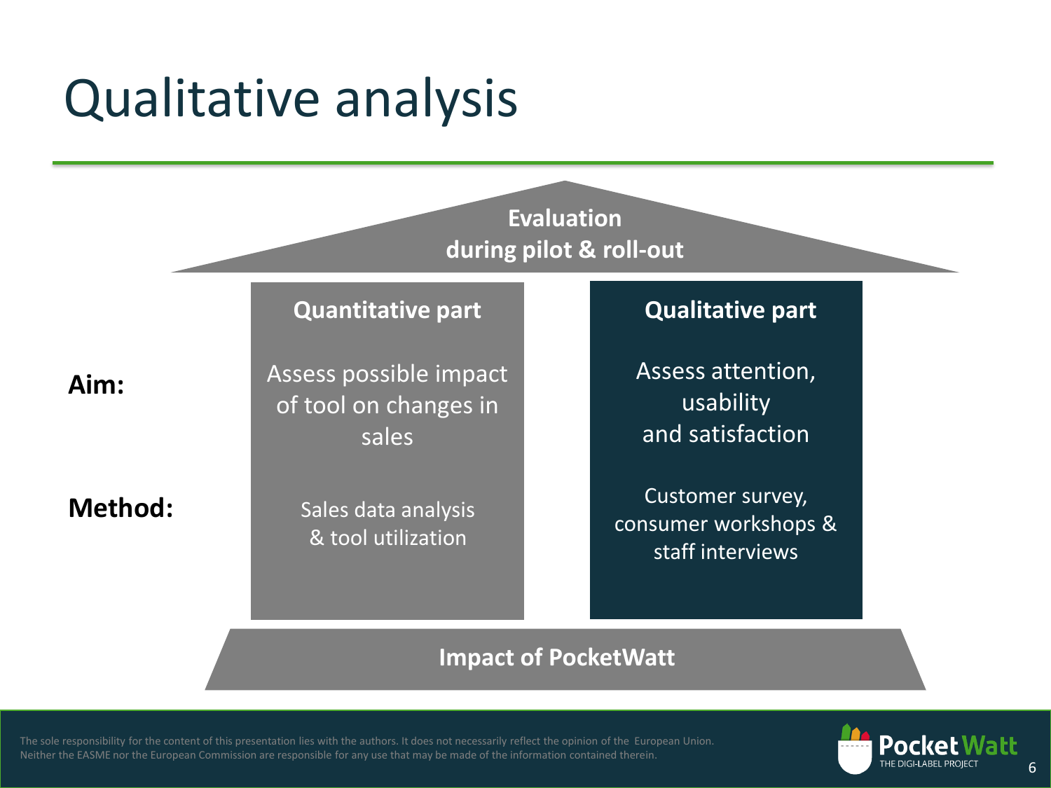### Qualitative analysis

**Evaluation during pilot & roll-out**

### **Quantitative part Qualitative part**

**Aim:**

**Method:**

Assess possible impact of tool on changes in sales

> Sales data analysis & tool utilization

Assess attention, usability and satisfaction

Customer survey, consumer workshops & staff interviews

### **Impact of PocketWatt**

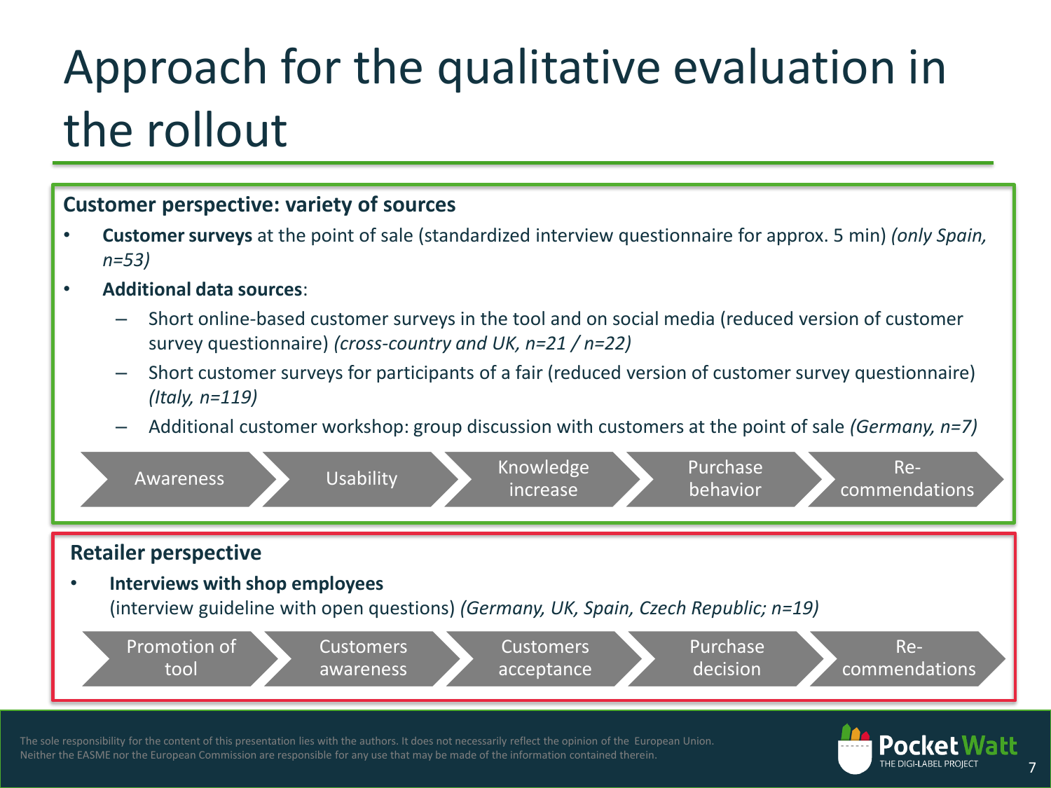### Approach for the qualitative evaluation in the rollout



The sole responsibility for the content of this presentation lies with the authors. It does not necessarily reflect the opinion of the European Union. Neither the EASME nor the European Commission are responsible for any use that may be made of the information contained therein.



7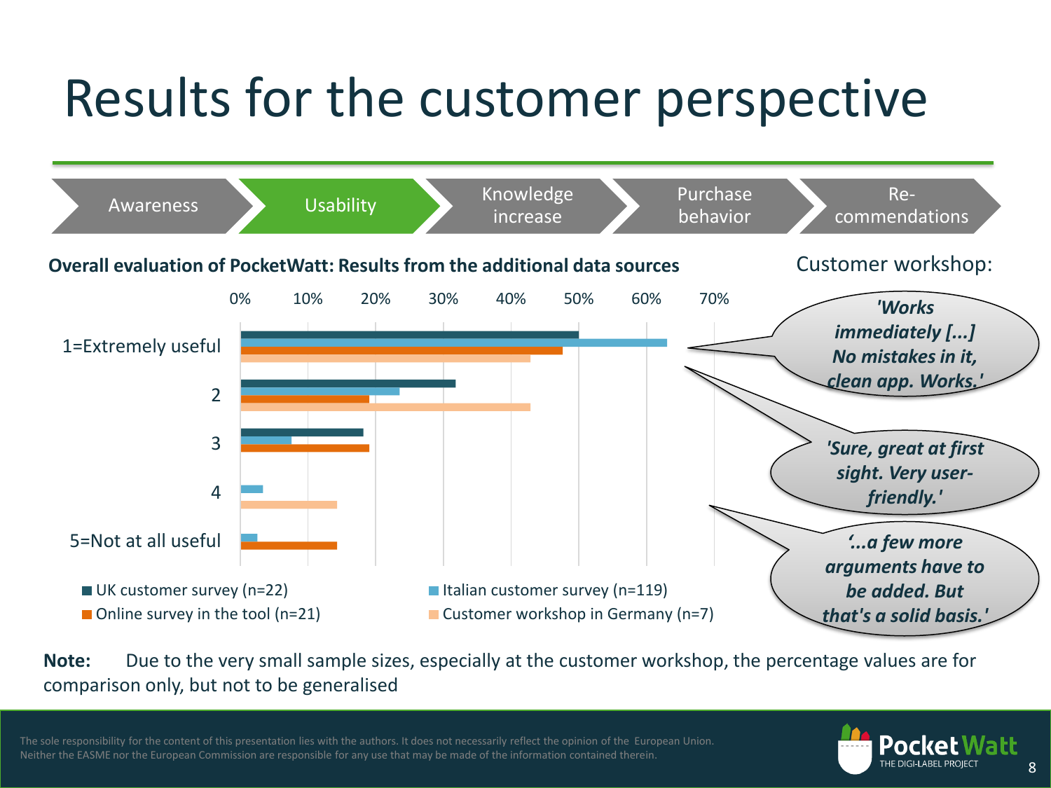## Results for the customer perspective



**Note:** Due to the very small sample sizes, especially at the customer workshop, the percentage values are for comparison only, but not to be generalised

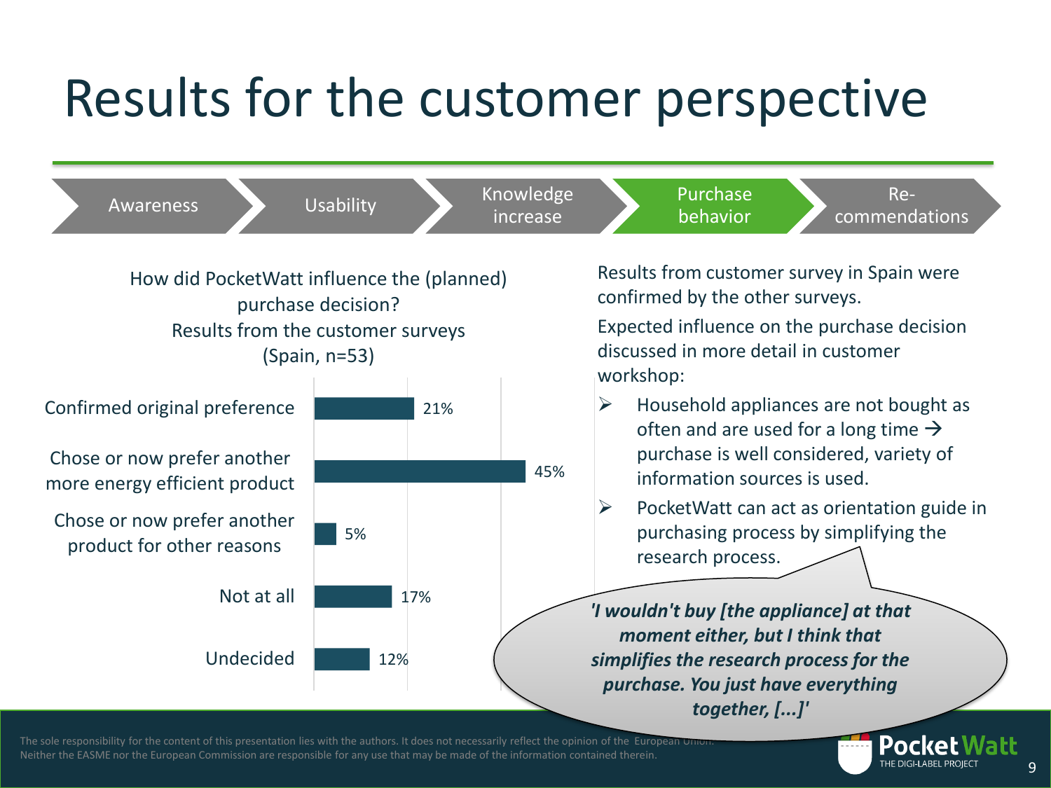### Results for the customer perspective



The sole responsibility for the content of this presentation lies with the authors. It does not necessarily reflect the opinion of the European Union Neither the EASME nor the European Commission are responsible for any use that may be made of the information contained therein.

Pocket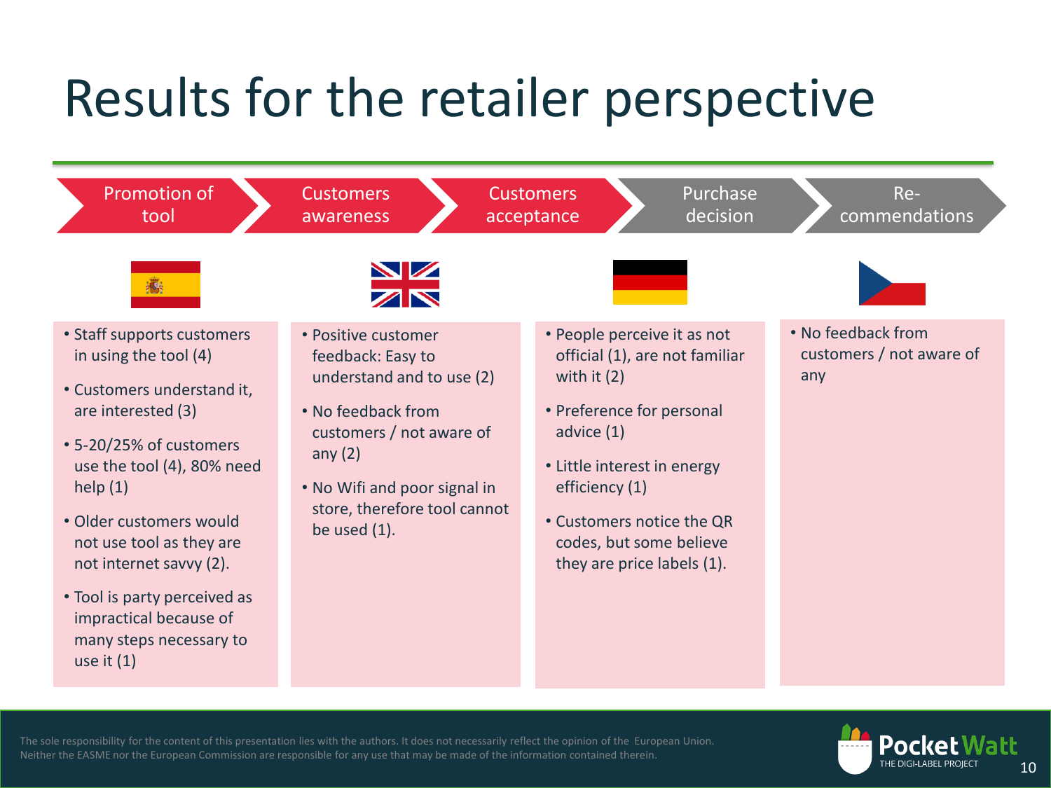## Results for the retailer perspective



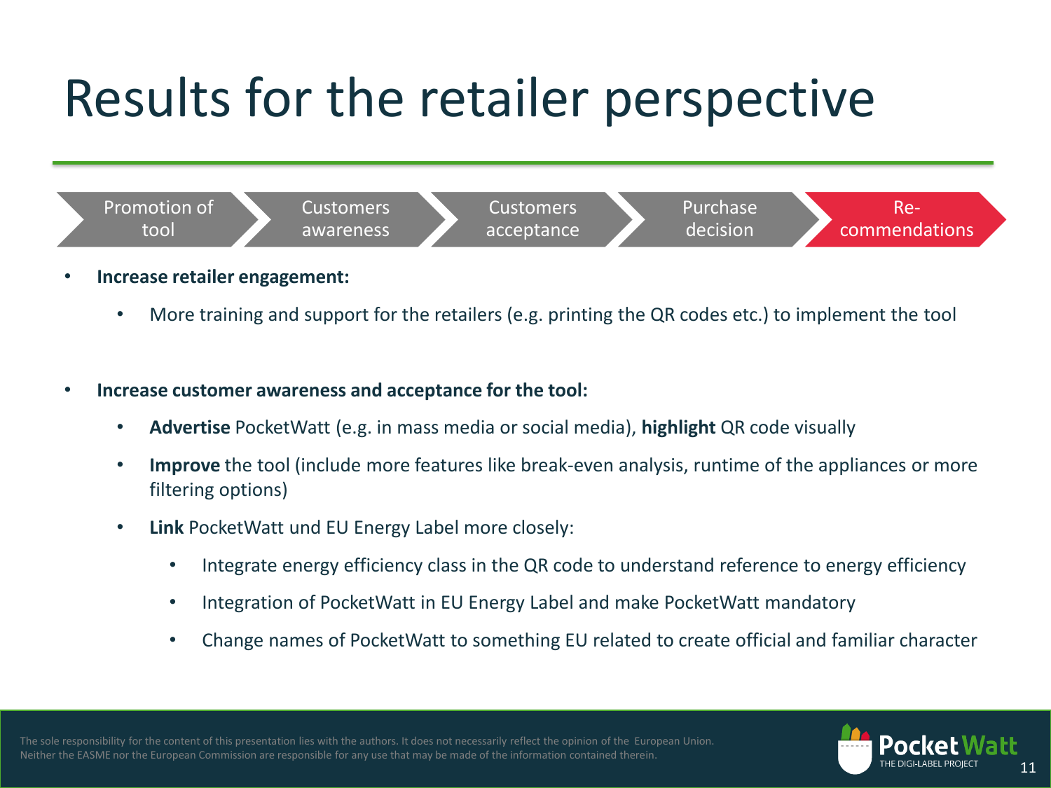## Results for the retailer perspective



- **Increase retailer engagement:**
	- More training and support for the retailers (e.g. printing the QR codes etc.) to implement the tool
- **Increase customer awareness and acceptance for the tool:** 
	- **Advertise** PocketWatt (e.g. in mass media or social media), **highlight** QR code visually
	- **Improve** the tool (include more features like break-even analysis, runtime of the appliances or more filtering options)
	- **Link** PocketWatt und EU Energy Label more closely:
		- Integrate energy efficiency class in the QR code to understand reference to energy efficiency
		- Integration of PocketWatt in EU Energy Label and make PocketWatt mandatory
		- Change names of PocketWatt to something EU related to create official and familiar character

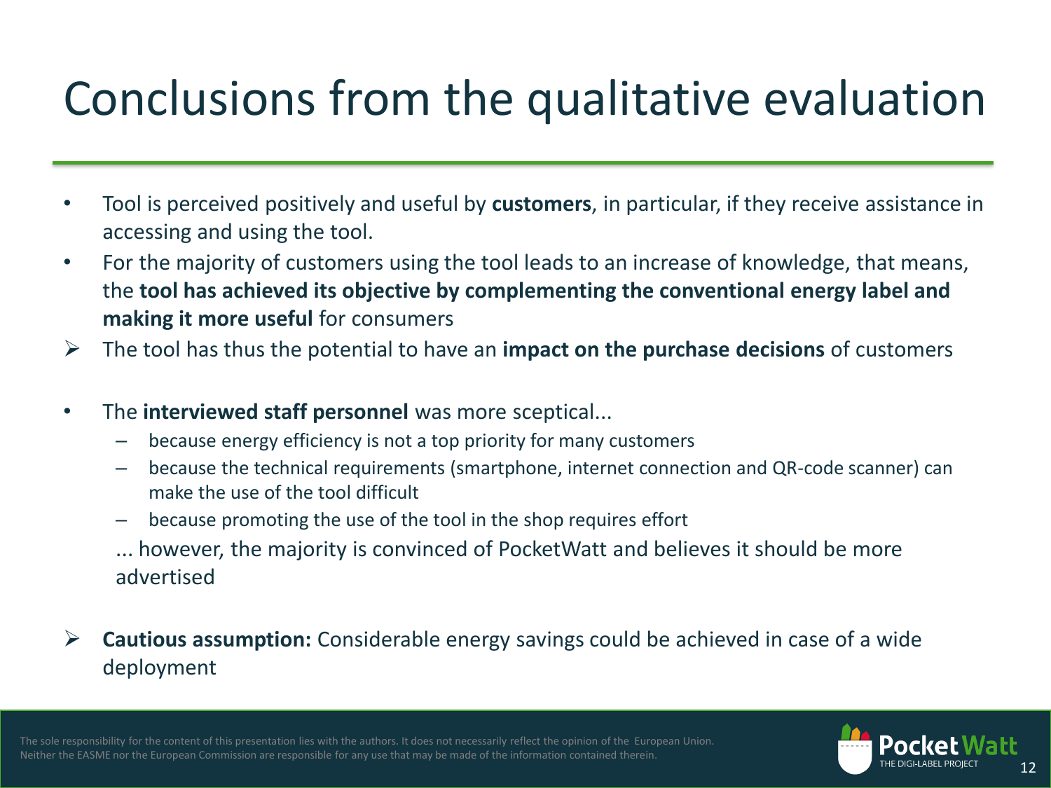### Conclusions from the qualitative evaluation

- Tool is perceived positively and useful by **customers**, in particular, if they receive assistance in accessing and using the tool.
- For the majority of customers using the tool leads to an increase of knowledge, that means, the **tool has achieved its objective by complementing the conventional energy label and making it more useful for consumers**
- The tool has thus the potential to have an **impact on the purchase decisions** of customers
- The **interviewed staff personnel** was more sceptical...
	- because energy efficiency is not a top priority for many customers
	- because the technical requirements (smartphone, internet connection and QR-code scanner) can make the use of the tool difficult
	- because promoting the use of the tool in the shop requires effort
	- ... however, the majority is convinced of PocketWatt and believes it should be more advertised
- **Cautious assumption:** Considerable energy savings could be achieved in case of a wide deployment



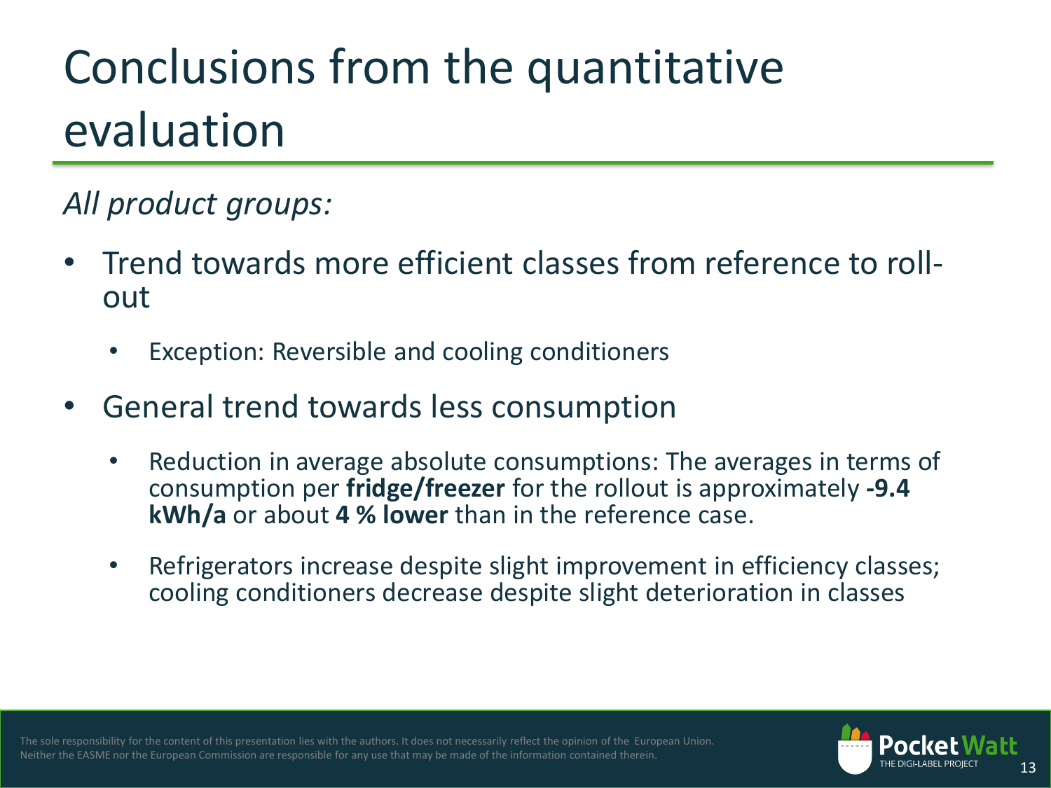### Conclusions from the quantitative evaluation

### *All product groups:*

- Trend towards more efficient classes from reference to rollout
	- Exception: Reversible and cooling conditioners
- General trend towards less consumption
	- Reduction in average absolute consumptions: The averages in terms of consumption per **fridge/freezer** for the rollout is approximately **-9.4 kWh/a** or about **4 % lower** than in the reference case.
	- Refrigerators increase despite slight improvement in efficiency classes; cooling conditioners decrease despite slight deterioration in classes

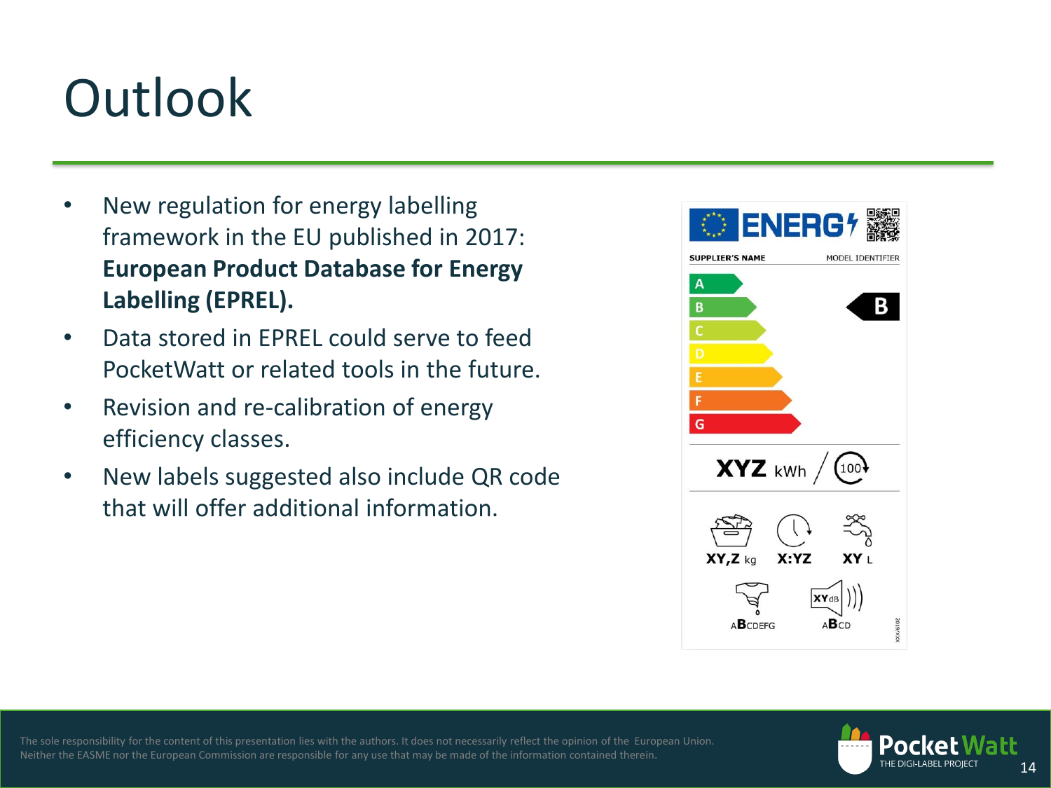## **Outlook**

- New regulation for energy labelling framework in the EU published in 2017: **European Product Database for Energy Labelling (EPREL).**
- Data stored in EPREL could serve to feed PocketWatt or related tools in the future.
- Revision and re-calibration of energy efficiency classes.
- New labels suggested also include QR code that will offer additional information.